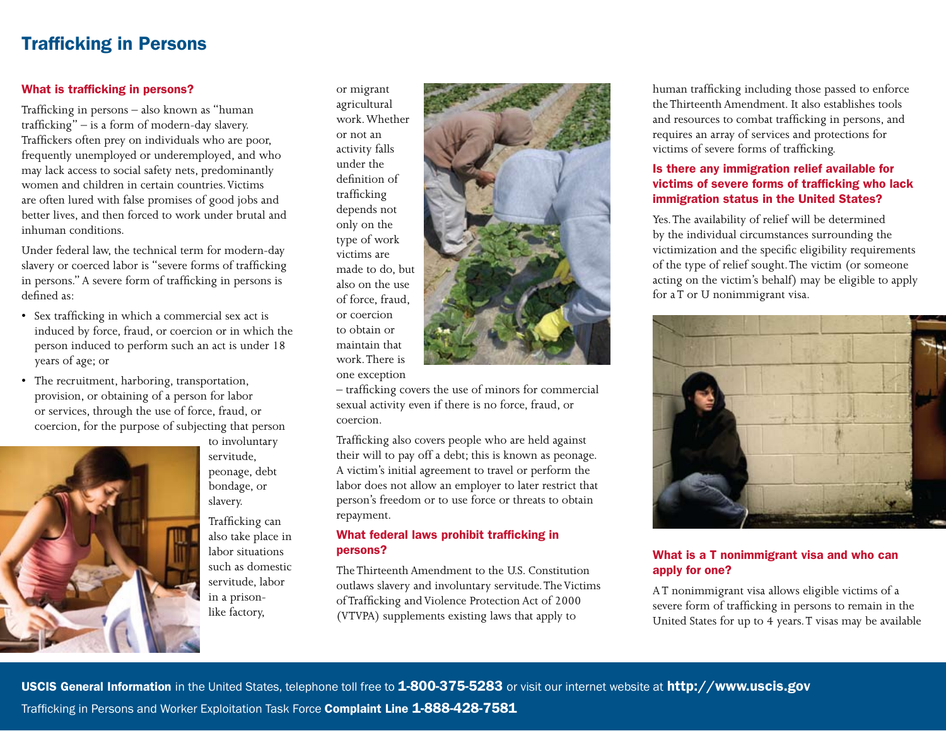# Trafficking in Persons

#### What is trafficking in persons?

Trafficking in persons – also known as "human trafficking" – is a form of modern-day slavery. Traffickers often prey on individuals who are poor, frequently unemployed or underemployed, and who may lack access to social safety nets, predominantly women and children in certain countries.Victims are often lured with false promises of good jobs and better lives, and then forced to work under brutal and inhuman conditions.

Under federal law, the technical term for modern-day slavery or coerced labor is "severe forms of trafficking in persons." A severe form of trafficking in persons is defined as:

- • Sex trafficking in which a commercial sex act is induced by force, fraud, or coercion or in which the person induced to perform such an act is under 18 years of age; or
- The recruitment, harboring, transportation,  $\begin{array}{ccc}\n\cdot & \cdot & \cdot & \cdot & \cdot \\
\text{one exception} & \cdot & \cdot & \cdot \\
\cdot & \cdot & \cdot & \cdot & \cdot\n\end{array}$ provision, or obtaining of a person for labor or services, through the use of force, fraud, or coercion, for the purpose of subjecting that person



to involuntary servitude, peonage, debt bondage, or slavery.

Trafficking can also take place in labor situations such as domestic servitude, labor in a prisonlike factory,

or migrant agricultural work.Whether or not an activity falls under the definition of trafficking depends not only on the type of work victims are made to do, but also on the use of force, fraud, or coercion to obtain or maintain that work.There is one exception

 sexual activity even if there is no force, fraud, or – trafficking covers the use of minors for commercial coercion.

Trafficking also covers people who are held against their will to pay off a debt; this is known as peonage. A victim's initial agreement to travel or perform the labor does not allow an employer to later restrict that person's freedom or to use force or threats to obtain repayment.

## What federal laws prohibit trafficking in persons?

 The Thirteenth Amendment to the U.S. Constitution outlaws slavery and involuntary servitude.The Victims of Trafficking and Violence Protection Act of 2000 (VTVPA) supplements existing laws that apply to

human trafficking including those passed to enforce the Thirteenth Amendment. It also establishes tools and resources to combat trafficking in persons, and requires an array of services and protections for victims of severe forms of trafficking.

#### Is there any immigration relief available for victims of severe forms of trafficking who lack immigration status in the United States?

Yes.The availability of relief will be determined by the individual circumstances surrounding the victimization and the specific eligibility requirements of the type of relief sought.The victim (or someone acting on the victim's behalf) may be eligible to apply for a T or U nonimmigrant visa.



## What is a T nonimmigrant visa and who can apply for one?

supplements existing laws that apply to United States for up to 4 years. T visas may be available A T nonimmigrant visa allows eligible victims of a severe form of trafficking in persons to remain in the

USCIS General Information in the United States, telephone toll free to 1-800-375-5283 or visit our internet website at http://www.uscis.gov Trafficking in Persons and Worker Exploitation Task Force Complaint Line 1-888-428-7581